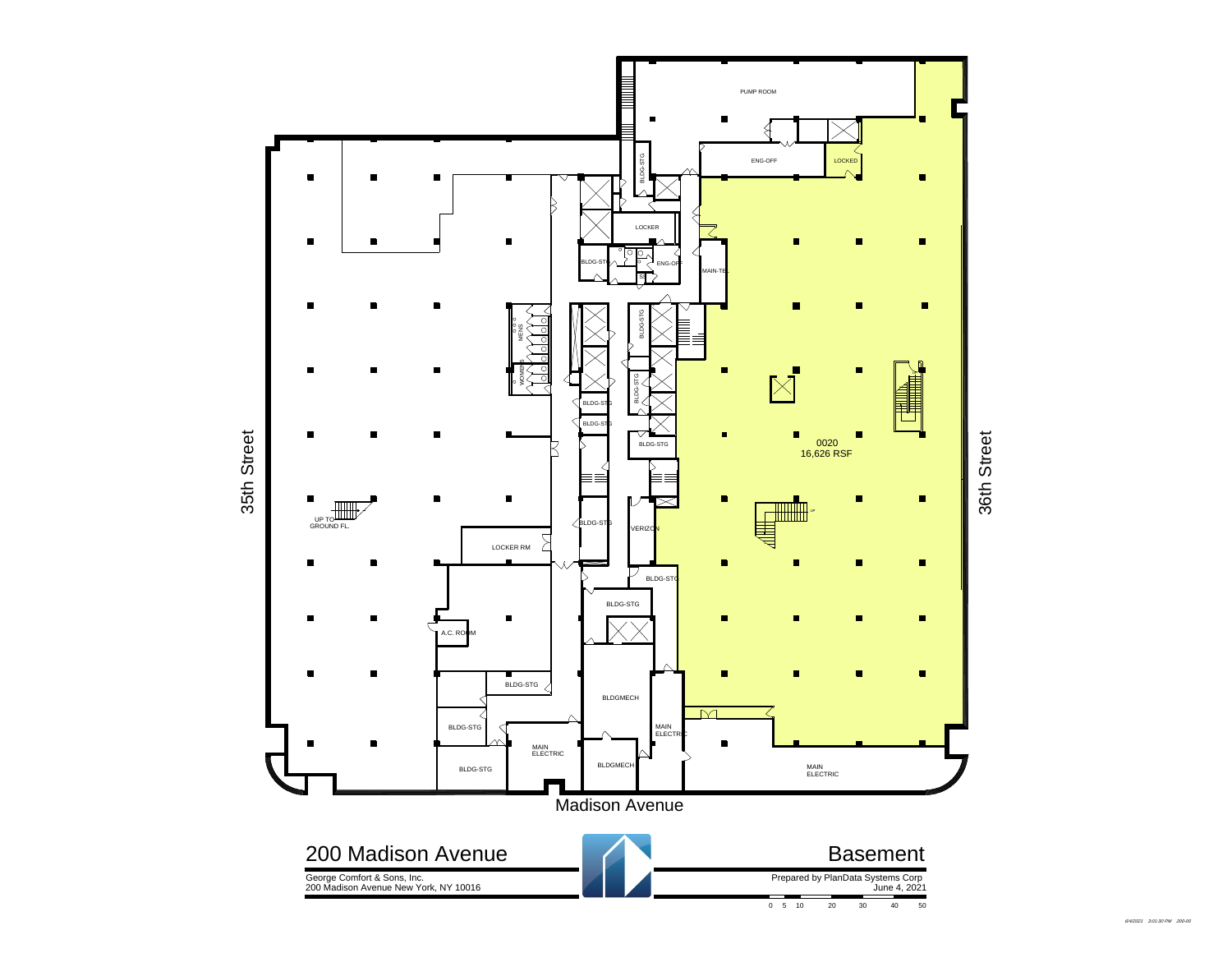

6/4/2021 3:01:30 PM 200-00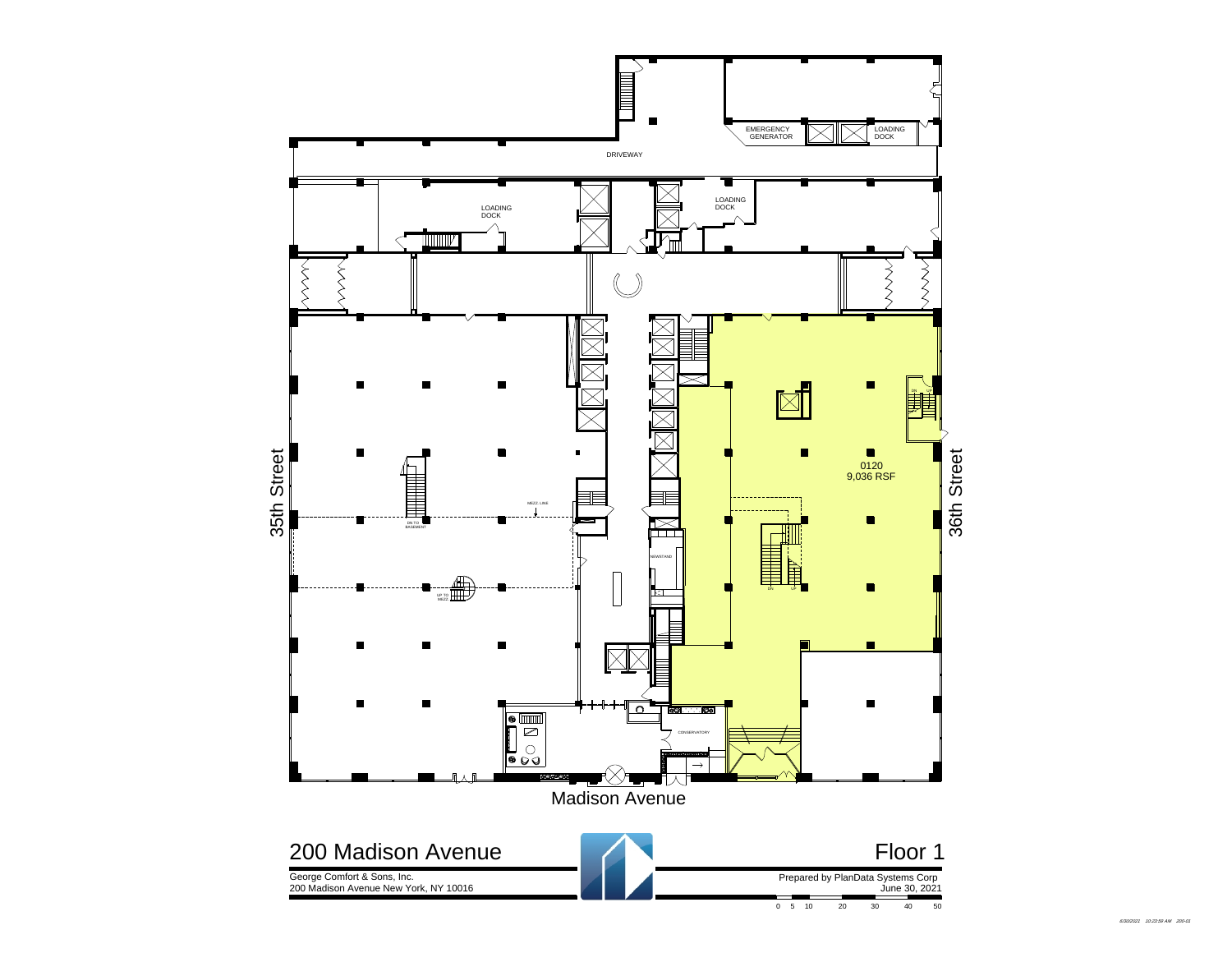